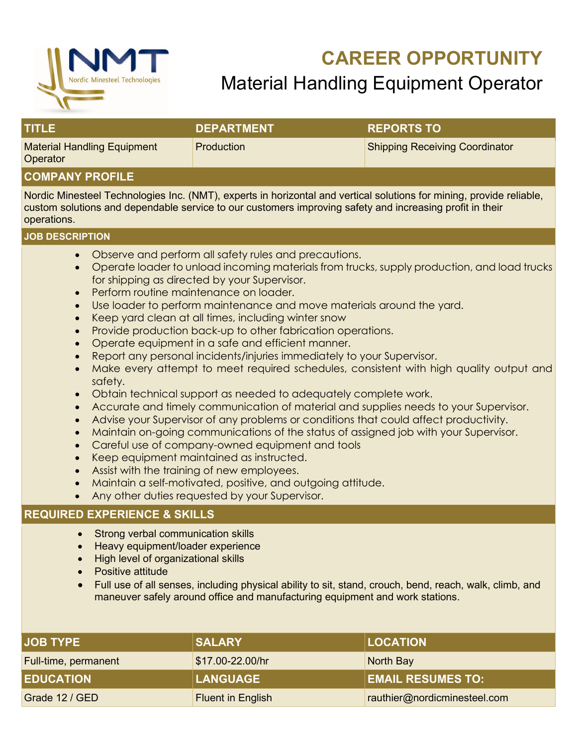

# **CAREER OPPORTUNITY** Material Handling Equipment Operator

| TITUEL                                         | <b>DEPARTMENT</b> | <b>REPORTS TO</b>                     |
|------------------------------------------------|-------------------|---------------------------------------|
| <b>Material Handling Equipment</b><br>Operator | <b>Production</b> | <b>Shipping Receiving Coordinator</b> |

### **COMPANY PROFILE**

Nordic Minesteel Technologies Inc. (NMT), experts in horizontal and vertical solutions for mining, provide reliable, custom solutions and dependable service to our customers improving safety and increasing profit in their operations.

#### **JOB DESCRIPTION**

- Observe and perform all safety rules and precautions.
- Operate loader to unload incoming materials from trucks, supply production, and load trucks for shipping as directed by your Supervisor.
- Perform routine maintenance on loader.
- Use loader to perform maintenance and move materials around the yard.
- Keep yard clean at all times, including winter snow
- Provide production back-up to other fabrication operations.
- Operate equipment in a safe and efficient manner.
- Report any personal incidents/injuries immediately to your Supervisor.
- Make every attempt to meet required schedules, consistent with high quality output and safety.
- Obtain technical support as needed to adequately complete work.
- Accurate and timely communication of material and supplies needs to your Supervisor.
- Advise your Supervisor of any problems or conditions that could affect productivity.
- Maintain on-going communications of the status of assigned job with your Supervisor.
- Careful use of company-owned equipment and tools
- Keep equipment maintained as instructed.
- Assist with the training of new employees.
- Maintain a self-motivated, positive, and outgoing attitude.
- Any other duties requested by your Supervisor.

### **REQUIRED EXPERIENCE & SKILLS**

- Strong verbal communication skills
- Heavy equipment/loader experience
- High level of organizational skills
- Positive attitude
- Full use of all senses, including physical ability to sit, stand, crouch, bend, reach, walk, climb, and maneuver safely around office and manufacturing equipment and work stations.

| <b>JOB TYPE</b>      | <b>SALARY</b>            | <b>LOCATION</b>              |
|----------------------|--------------------------|------------------------------|
| Full-time, permanent | \$17.00-22.00/hr         | North Bay                    |
| <b>EDUCATION</b>     | <b>LANGUAGE</b>          | <b>EMAIL RESUMES TO:</b>     |
| Grade 12 / GED       | <b>Fluent in English</b> | rauthier@nordicminesteel.com |